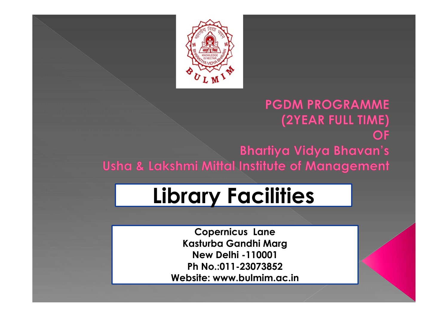

#### **PGDM PROGRAMME** (2YEAR FULL TIME) OF **Bhartiya Vidya Bhavan's** Usha & Lakshmi Mittal Institute of Management

## Library Facilities

Copernicus Lane Kasturba Gandhi Marg New Delhi -110001 Ph No.:011-23073852 Website: www.bulmim.ac.in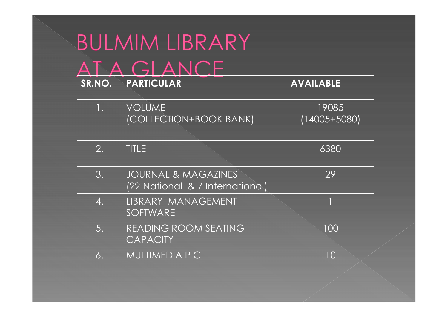| $\boldsymbol{\Delta}$<br>SR.NO. | ANCE<br>PARTICULAR                                                | <b>AVAILABLE</b>          |  |
|---------------------------------|-------------------------------------------------------------------|---------------------------|--|
| 1.                              | <b>VOLUME</b><br>(COLLECTION+BOOK BANK)                           | 19085<br>$(14005 + 5080)$ |  |
| 2.                              | <b>TITLE</b>                                                      | 6380                      |  |
| 3.                              | <b>JOURNAL &amp; MAGAZINES</b><br>(22 National & 7 International) | 29                        |  |
| 4.                              | LIBRARY MANAGEMENT<br>SOFTWARE                                    |                           |  |
| 5.                              | READING ROOM SEATING<br><b>CAPACITY</b>                           | 100                       |  |
| 6.                              | MULTIMEDIA P C                                                    | 10                        |  |
|                                 |                                                                   |                           |  |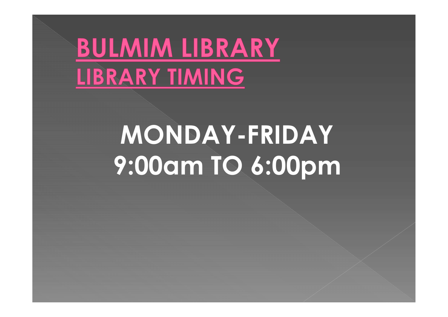## **BULMIM LIBRARY** LIBRARY TIMING

## MONDAY-FRIDAY 9:00am TO 6:00pm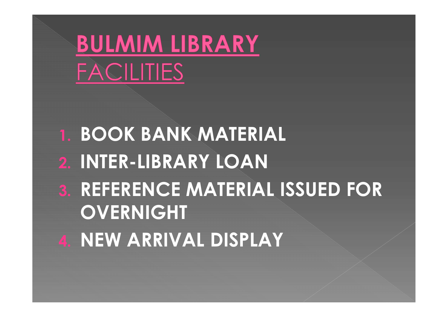## **BULMIM LIBRARY FACILITIES**

## 1. BOOK BANK MATERIAL 2. INTER-LIBRARY LOAN 3. REFERENCE MATERIAL ISSUED FOR **OVERNIGHT**

4. NEW ARRIVAL DISPLAY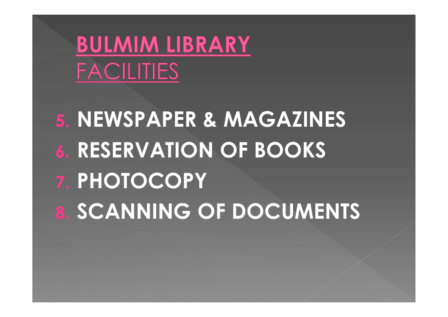## **BULMIM LIBRARY FACILITIES**

## 5. NEWSPAPER & MAGAZINES 6. RESERVATION OF BOOKS 7. PHOTOCOPY 8. SCANNING OF DOCUMENTS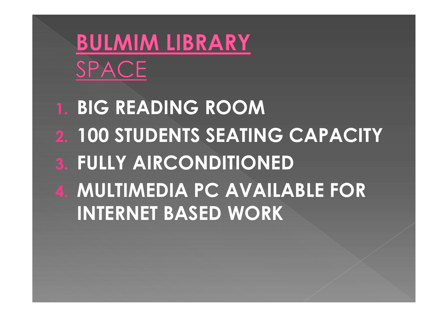## **BULMIM LIBRARY** SPACE

1. BIG READING ROOM 2. 100 STUDENTS SEATING CAPACITY **3. FULLY AIRCONDITIONED** 4. MULTIMEDIA PC AVAILABLE FOR INTERNET BASED WORK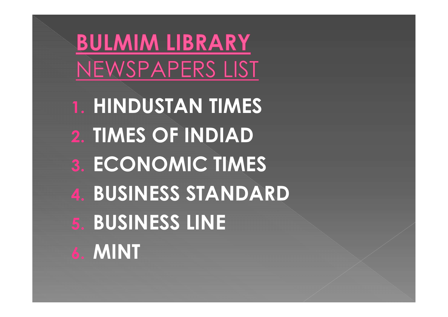**BULMIM LIBRARY** NEWSPAPERS LIST

1. HINDUSTAN TIMES 2. TIMES OF INDIAD 3. ECONOMIC TIMES 4. BUSINESS STANDARD 5. BUSINESS LINE 6. MINT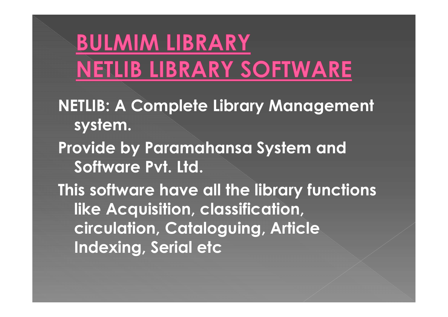NETLIB: A Complete Library Management system. **BULMIM LIBRARY<br>
NETLIB LIBRARY SOFTWARE**<br>
NETLIB: A Complete Library Management<br>
system.<br>
Provide by Paramahansa System and<br>
Software Pvt. Ltd. Software Pvt. Ltd. This software have all the library functions like Acquisition, classification, circulation, Cataloguing, Article Indexing, Serial etc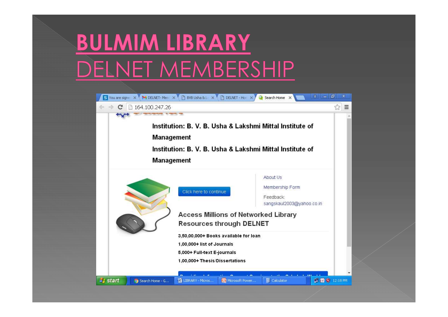## **BULMIM LIBRARY** DELNET MEMBERSHIP

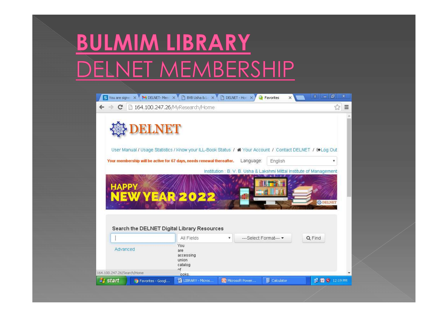## **BULMIM LIBRARY** DELNET MEMBERSHIP

| S You are signe X M DELNET-Mem X B BVB Usha & L X B DELNET-Hon X                                         |                                                            |                           | <b>Q</b> Favorites<br>$\times$                                       | 司<br>$\mathbf x$<br>$\Delta$<br>$\blacksquare$ |
|----------------------------------------------------------------------------------------------------------|------------------------------------------------------------|---------------------------|----------------------------------------------------------------------|------------------------------------------------|
| 164.100.247.26/MyResearch/Home<br>c                                                                      |                                                            |                           |                                                                      | 23<br>$\equiv$                                 |
| User Manual / Usage Statistics / Know your ILL-Book Status / # Your Account / Contact DELNET / COLog Out |                                                            |                           |                                                                      |                                                |
| Your membership will be active for 67 days, needs renewal thereafter.                                    |                                                            | Language:                 | English                                                              | ۷                                              |
|                                                                                                          |                                                            |                           | Institution : B. V. B. Usha & Lakshmi Mittal Institute of Management |                                                |
| <b>HAPPY</b><br><b>YEAR<sup>20</sup></b><br>NEW<br>Search the DELNET Digital Library Resources           |                                                            |                           |                                                                      | <b>登DELNE</b>                                  |
|                                                                                                          | All Fields<br>$\boldsymbol{\mathrm{v}}$                    | ---Select Format--- -     |                                                                      | Q Find                                         |
| Advanced<br>164.100.247.26/Search/Home                                                                   | You<br>are<br>accessing<br>union<br>catalog<br>Πf<br>ooks. |                           |                                                                      |                                                |
| $\rightarrow$ start<br>Co Favorites - Googl                                                              | LIBRARY - Micros                                           | <b>To Microsoft Power</b> | Calculator                                                           | <b>DE @</b> 12:19 PM                           |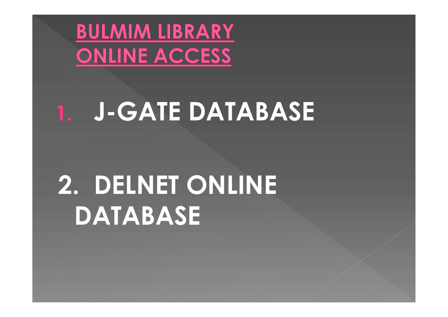

## 1. J-GATE DATABASE

## 2. DELNET ONLINE DATABASE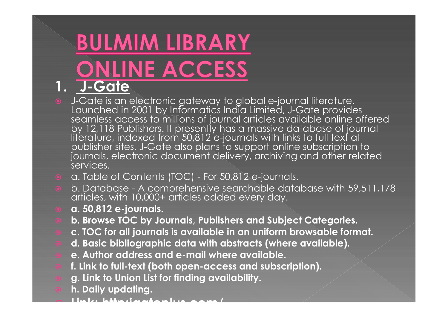# 1. J-Gate

- J-Gate is an electronic gateway to global e-journal literature. Launched in 2001 by Informatics India Limited, J-Gate provides seamless access to millions of journal articles available online offered states of individual by 12,118 Publishers. It presently has a massive database of journal literature, indexed from 50,812 e-journals with links to full text at<br>publisher sites. J-Gate also plans to support online subscription to **J-Gate**<br>J-Gate is an electronic gateway to global e-journal literature.<br>J-Gate is an electronic gateway to global e-journal literature.<br>Launched in 2001 by Informatics India Limited, J-Gate provides<br>seamless access to mil **BULMIM LIBRARY**<br> **BULMIME ACCESS**<br> **BULMIME ACCESS**<br> **BULMIME ACCESS**<br> **DESCESS**<br> **DESCESS**<br> **DESCESS**<br> **DESCESS**<br>
LOCESS<br>
LOCESS scances to millions of journal dimited, J-Gate provides<br>
seamless access to millions of jou **b. Database - A comprehensive searchable database with 59,511,178 articles, with 10,000+ criticles and soligitions of interactions of interactions of interactions of interactions of interactions of interactions of the pre**
- 
- b. Database A comprehensive searchable database with 59,511,178<br>articles, with 10,000+ articles added every day.
- a. 50,812 e-journals.
- b. Browse TOC by Journals, Publishers and Subject Categories.
- c. TOC for all journals is available in an uniform browsable format.
- d. Basic bibliographic data with abstracts (where available).
- e. Author address and e-mail where available.
- f. Link to full-text (both open-access and subscription).
- g. Link to Union List for finding availability.
- h. Daily updating.
- Link: http:jgateplus.com/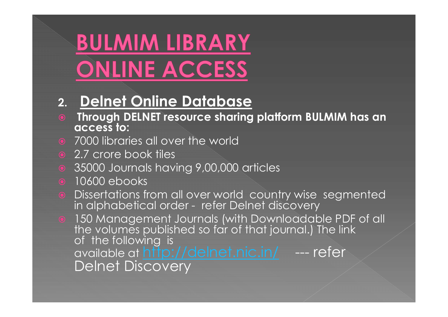# **BULMIM LIBRARY<br>
CONLINE ACCESS**<br>
2. Delnet Online Database<br>
Through DELNET resource sharing platform<br>
access to:<br>
2.7 crore book tiles<br>
2.7 crore book tiles<br>
8.35000 Journals having 9,00,000 articles<br>
8.10600 ebooks

#### 2. Delnet Online Database

- Through DELNET resource sharing platform BULMIM has an access to:
- **•** 7000 libraries all over the world
- 
- 35000 Journals having 9,00,000 articles
- **0** 10600 ebooks
- **ONLINE ACCESS**<br> **Example 10 Discrete Starting platform BULMIM has an<br>
access to:<br>
 7000 libraries all over the world<br>
 2.7 crore book tiles<br>
 35000 Journals having 9,00,000 articles<br>
 10600 ebooks<br>
 Dissertations fro**
- **Delnet Online Database<br>
Through DELNET resource sharing platform BULMIM has an<br>
access to:<br>
7000 libraries all over the world<br>
2.7 crore book tiles<br>
35000 Journals having 9,00,000 articles<br>
10600 ebooks<br>
Dissertations fro** 2. **Denter Online Databook**<br>
• Through DELNET resource sharing platform BULMIM has an<br>
• 7000 libraries all over the world<br>
• 2.7 crore book tiles<br>
• 35000 Journals having 9,00,000 articles<br>
• 10600 ebooks<br>
• Dissertations **Through DELNET resource sharing platform BuLMIM has an**<br> **access to:**<br>
2.7 crore book tiles<br>
2.7 crore book tiles<br>
35000 Journals having 9,00,000 articles<br>
10600 ebooks<br>
Dissertations from all over world country wise segm available at http://delnet.nic.in/ --- refer<br>Delnet Discovery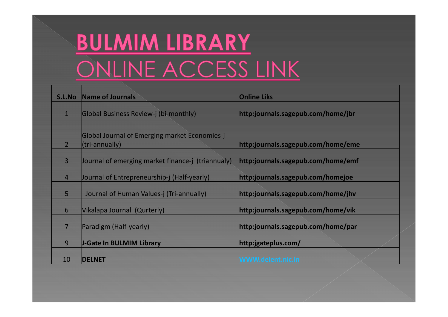# **BULMIM LIBRARY<br>ONLINE ACCESS LINK**

|                | <b>BULMIM LIBRARY</b>                                           |                                    |
|----------------|-----------------------------------------------------------------|------------------------------------|
|                | <u>ONLINE ACCESS LINK</u>                                       |                                    |
| S.L.No         | <b>Name of Journals</b>                                         | <b>Online Liks</b>                 |
| $\mathbf{1}$   | Global Business Review-j (bi-monthly)                           | http:journals.sagepub.com/home/jbr |
| $\overline{2}$ | Global Journal of Emerging market Economies-j<br>(tri-annually) | http:journals.sagepub.com/home/eme |
| 3              | Journal of emerging market finance-j (triannualy)               | http:journals.sagepub.com/home/emf |
| $\overline{4}$ | Journal of Entrepreneurship-j (Half-yearly)                     | http:journals.sagepub.com/homejoe  |
| 5              | Journal of Human Values-j (Tri-annually)                        | http:journals.sagepub.com/home/jhv |
| 6              | Vikalapa Journal (Qurterly)                                     | http:journals.sagepub.com/home/vik |
| $\overline{7}$ | Paradigm (Half-yearly)                                          | http:journals.sagepub.com/home/par |
| 9              | <b>J-Gate In BULMIM Library</b>                                 | http:jgateplus.com/                |
| 10             | <b>DELNET</b>                                                   | <b>WWW.delent.nic.in</b>           |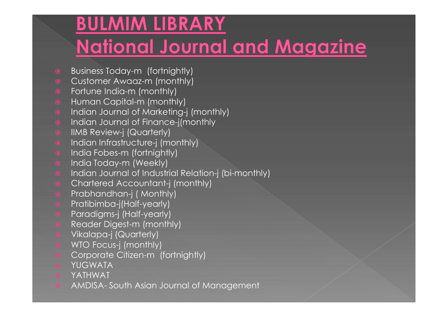#### **BULMIM LIBRARY National Journal and Magazine**

- **Business Today-m (fortnightly)**
- Customer Awaaz-m (monthly)
- Fortune India-m (monthly)
- **•** Human Capital-m (monthly)
- **•** Indian Journal of Marketing-j (monthly)
- Indian Journal of Finance-j(monthly
- **•** IIMB Review-j (Quarterly)
- **•** Indian Infrastructure-j (monthly)
- **o** India Fobes-m (fortnightly)
- **•** India Today-m (Weekly)
- **•** Indian Journal of Industrial Relation-j (bi-monthly) © India Fobes-m (fortnightly)<br>
© India Today-m (Weekly)<br>
© Indian Journal of Industrial Relation-j (bi-monthly)<br>
© Chartered Accountant-j (monthly)<br>
© Prabhandhan-j (Monthly)<br>
© Pratibimba-j(Half-yearly)<br>
© Pradigms-j (Ha
- **•** Chartered Accountant-j (monthly)
- **•** Prabhandhan-j ( Monthly)
- **•** Pratibimba-j(Half-yearly)
- **•** Paradigms-j (Half-yearly)
- Reader Digest-m (monthly)
- Vikalapa-j (Quarterly)
- WTO Focus-j (monthly)
- Corporate Citizen-m (fortnightly)
- YUGWATA
- YATHWAT
-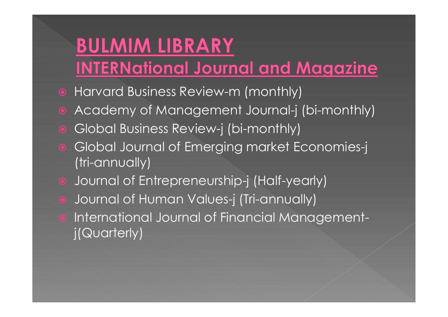## **BULMIM LIBRARY**

#### **INTERNational Journal and Magazine**

- Harvard Business Review-m (monthly)
- Academy of Management Journal-j (bi-monthly)
- Global Business Review-j (bi-monthly)
- Global Journal of Emerging market Economies-j (tri-annually)
- Journal of Entrepreneurship-j (Half-yearly)
- Journal of Human Values-j (Tri-annually)
- **International Journal of Financial Management**j(Quarterly)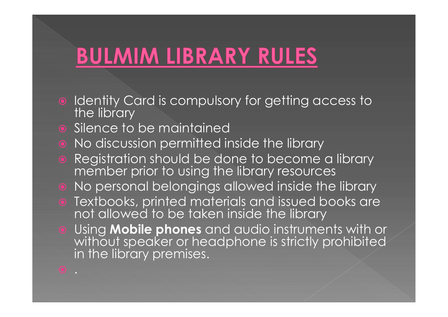#### **BULMIM LIBRARY RULES**

- Identity Card is compulsory for getting access to the library
- **•** Silence to be maintained
- No discussion permitted inside the library
- **•** Registration should be done to become a library member prior to using the library resources
- No personal belongings allowed inside the library
- **Textbooks, printed materials and issued books are** not allowed to be taken inside the library
- **.** Using **Mobile phones** and audio instruments with or without speaker or headphone is strictly prohibited in the library premises.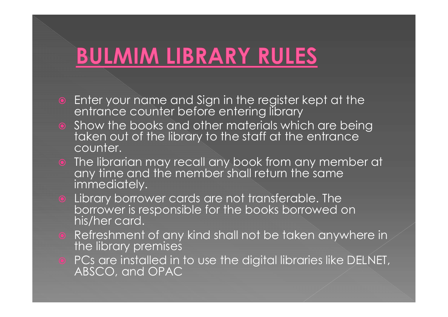#### **BULMIM LIBRARY RULES**

- Enter your name and Sign in the register kept at the entrance counter before entering library
- Show the books and other materials which are being taken out of the library to the staff at the entrance counter.
- The librarian may recall any book from any member at any time and the member shall return the same immediately.
- **•** Library borrower cards are not transferable. The borrower is responsible for the books borrowed on his/her card.
- **•** Refreshment of any kind shall not be taken anywhere in the library premises
- PCs are installed in to use the digital libraries like DELNET, ABSCO, and OPAC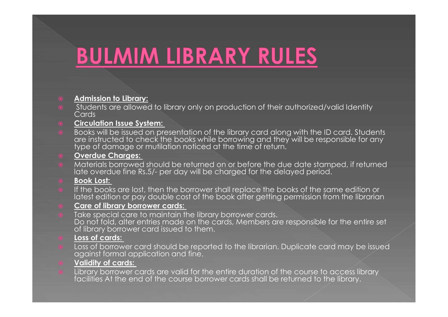#### Admission to Library:

 Students are allowed to library only on production of their authorized/valid Identity Cards

**BULMIM LIBRARY RULES**<br> **Admission to Library:**<br>
Students are allowed to library only on production of their authorize<br>
Cards<br> **Circulation Issue System:**<br> **Cooks will be issued on presentation of the library card along wi** Books will be issued on presentation of the library card along with the ID card. Students<br>are instructed to check the books while borrowing and they will be responsible for any **BULMIM LIBRARY RULES**<br> **Admission to Library:**<br>
Students are allowed to library only on production of their authorized/valid Identity<br>
Circulation Issue System:<br>
Circulation Issue System:<br>
are instructed to check the book

#### Overdue Charges:

o Materials borrowed should be returned on or before the due date stamped, if returned<br>late overdue fine Rs.5/- per day will be charged for the delayed period.

#### **Book Lost:**

**If the books are lost, then the borrower shall replace the books of the same edition or** latest edition or pay double cost of the book after getting permission from the librarian

#### Care of library borrower cards:

 Take special care to maintain the library borrower cards. Do not fold, alter entries made on the cards, Members are responsible for the entire set of library borrower card issued to them.

#### Loss of cards:

 Loss of borrower card should be reported to the librarian. Duplicate card may be issued against formal application and fine.

#### Validity of cards:

 Library borrower cards are valid for the entire duration of the course to access library facilities At the end of the course borrower cards shall be returned to the library.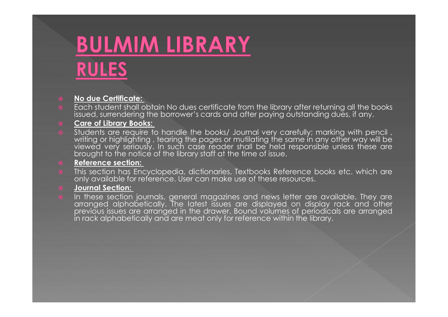## **BULMIM LIBRARY**<br> **RULES**<br> **RULES**<br> **RULES**<br> **RULES**<br> **RULES**<br> **RULES**<br> **REGISTER:**<br> **Care of Library Books:**<br> **Care of Library Books:**<br> **Care of Library Books:**<br> **Care of Library Books:**<br> **Care of Library Books: BULMIM LIBRARY**<br> **RULES**<br> **RULES**<br> **ROLES**<br> **Each student shall obtain No dues certificate** from the library after returning all the books<br> **Each student shall obtain No dues certificate** from the library after returning **BULMIM LIBRARY**<br> **RULES**<br> **No due Certificate:**<br> **Each student shall obtain No dues certificate from the library after returning all the books<br>
issued, surrendering the borrower's cards and after paying outstanding dues, BULMIM LIBRARY**<br> **RULES**<br> **RULES**<br> **ROBING AND CONSTANT CONSTANT CONSISTENT**<br> **ROBING AND CONSISTENT CONSISTENT CONSISTENT**<br> **Care of Library Books:**<br> **Care of Library Books:**<br> **Care of Library Books:**<br> **Care of Library B BULMIM LIBRARY**<br> **RULES**<br> **RULES**<br> **RULES**<br> **RULES**<br> **RULES**<br> **RULES**<br> **RULES**<br> **RULES**<br> **Exact Stready Stready in the consistent of the library scar<br>
<b>Stready stready in the matter of the library staff at the time of iss**

**BULMIM LIBRARY**<br> **RULES**<br> **RULES**<br> **RULES**<br> **RULES**<br> **RULES**<br> **RULES**<br> **RULES**<br> **RULES**<br> **RULES**<br> **RULES**<br> **RULES**<br> **RULES**<br> **RULES**<br> **RULES**<br> **RULES**<br> **RULES**<br> **RULES**<br> **RULES**<br> **RULES**<br> **RULES**<br> **RULES**<br> **RULES**<br> **RULES RULES**<br> **RULES**<br> **RULES**<br> **ROWING AND CONSTRANT CONSTRANT CONSTRANT CONSTRANT CONSTRANT CONSTRANT OF CONSTRANT CONSTRANT CONSTRANT CONSTRANT CONSTRANT CONSTRANT CONSTRANT CONSTRANT CONSTRANT CONSTRANT CONSTRANT CONSTRANT BULMIM LIBRARY**<br> **RULES**<br> **ROULES**<br> **ROULES**<br> **ROULES**<br> **ROULES**<br> **ROULES**<br> **Each student shall obtain No dues certificate from the library after returning all the books<br>
issued, surrendering the borower's cards and after BULMIM LIBRARY**<br> **RULES**<br> **RULES**<br> **RULES**<br> **RULES**<br> **EQUE AND THE CONDUCT TO A THE CONDUCT CONDUCT TO A THE CONDUCT SURPORT ON SURPORT ON SURPORT CONDUCT CONDUCT CONDUCT CONDUCT CONDUCT ON THE POLICITY OF THE POLICITY OF BULES**<br> **RULES**<br> **RULES**<br> **RULES**<br> **EXECUTE STAND INTO A SUPPOSE CONSTRANDENT OF THE INSTRANDED INTO A SUPPOSE STAND ISSUED AND CONSULSTANDED SUPPOSE STANDED SUPPOSE STAND SUPPOSE STANDED IS the prequire to handle the boo** 

**PULES**<br> **RULES**<br> **RULES**<br> **RES**<br> **RULES**<br> **EXECUTES**<br> **EXECUTES**<br> **EXECUTES**<br> **EXECUTES**<br> **EXECUTES**<br> **EXECUTES**<br> **EXECUTES**<br> **STUDES**<br> **STUDES**<br> **STUDES**<br> **STUDES**<br> **STUDES**<br> **STUDES**<br> **STUDES**<br> **STUDES**<br> **STUDES**<br> **STUD RULES**<br> **No due Certificate:**<br> **Rech student shall obtain No dues certificate from the library after returning all the books<br>
stock, sure of Library Books:<br>
Street in the books of the books Journal very constructing dues, No due Certificate:**<br> **No due Certificate** including the borrower's cards and after paying outstanding dues, if any,<br> **Eare of Library Books:**<br> **Students** are require to handle the books/ Journal very carefully; marking w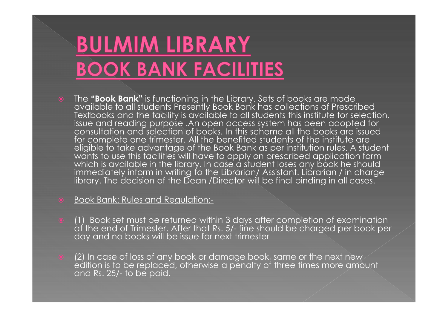## **BULMIM LIBRARY BOOK BANK FACILITIES**

- The "Book Bank" is functioning in the Library. Sets of books are made available to all students Presently Book Bank has collections of Prescribed Textbooks and the facility is available to all students this institute for selection, issue and reading purpose .An open access system has been adopted for **consultation and selection of books. In this** scheme all the books are issued and selection of books. In this scheme all the books are issued for complete one trimester. All the benefited students of the institute are eligible to take advantage of the Book Bank as per institution rules. A student wants to use this facilities will have to apply on prescribed application form which is available in the library. In case a student loses any book he should immediately inform in writing to the Librarian/ Assistant. Librarian / in charge library. The decision of the Dean /Director will be final binding in all cases. • The "**Book Bank**" is functioning in the Library. Sets of books are made<br>
available to all students Presently Book Bank has collections of Prescribed<br>
Textbooks and the facility is available to all students this institute for complete one trimester. All the benefited students celigible to take advantage of the Book Bank as per inst<br>wants to use this facilities will have to apply on prescribe<br>which is available in the library. In case a stud
- Book Bank: Rules and Regulation:-
- 
- (2) In case of loss of any book or damage book, same or the next new<br>edition is to be replaced, otherwise a penalty of three times more amount<br>and Rs. 25/- to be paid.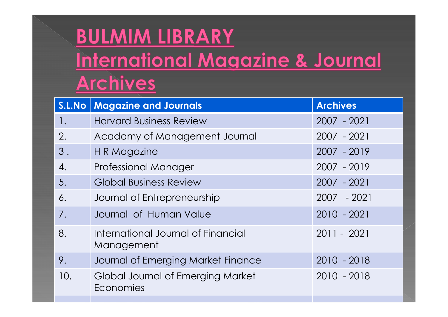|                                                     | <b>BULMIM LIBRARY</b>                            |                 |  |  |
|-----------------------------------------------------|--------------------------------------------------|-----------------|--|--|
| International Magazine & Journal<br><b>Archives</b> |                                                  |                 |  |  |
| S.L.No                                              | <b>Magazine and Journals</b>                     | <b>Archives</b> |  |  |
|                                                     | <b>Harvard Business Review</b>                   | 2007 - 2021     |  |  |
| 2.                                                  | Acadamy of Management Journal                    | 2007 - 2021     |  |  |
| 3.                                                  | H R Magazine                                     | 2007 - 2019     |  |  |
| 4.                                                  | <b>Professional Manager</b>                      | 2007 - 2019     |  |  |
| 5.                                                  | <b>Global Business Review</b>                    | 2007 - 2021     |  |  |
| 6.                                                  | Journal of Entrepreneurship                      | $-2021$<br>2007 |  |  |
| 7.                                                  | Journal of Human Value                           | $2010 - 2021$   |  |  |
| 8.                                                  | International Journal of Financial<br>Management | 2011 - 2021     |  |  |
| 9.                                                  | Journal of Emerging Market Finance               | $2010 - 2018$   |  |  |
| 10.                                                 | Global Journal of Emerging Market<br>Economies   | $2010 - 2018$   |  |  |